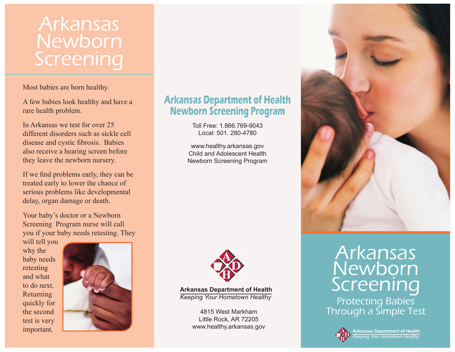# Arkansas Newborn Screening

Most babies are born healthy.

A few babies look healthy and have a rare health problem.

In Arkansas we test for over 25 different disorders such as sickle cell disease and cystic fibrosis. Babies also receive a hearing screen before they leave the newborn nursery.

If we find problems early, they can be treated early to lower the chance of serious problems like developmental delay, organ damage or death.

Your baby's doctor or a Newborn Screening Program nurse will call you if your baby needs retesting. They

will tell you why the baby needs retesting and what to do next. Returning quickly for the second test is very important.



# **Arkansas Department of Health Newborn Screening Program**

Toll Free: 1.866.769-9043Local: 501. 280-4780

www.healthy.arkansas.gov Child and Adolescent HealthNewborn Screening Program



**Arkansas Department of Health** *Keeping Your Hometown Healthy*

> 4815 West MarkhamLittle Rock, AR 72205 www.healthy.arkansas.gov



Arkansas Newborn Screening Protecting Babies Through a Simple Test